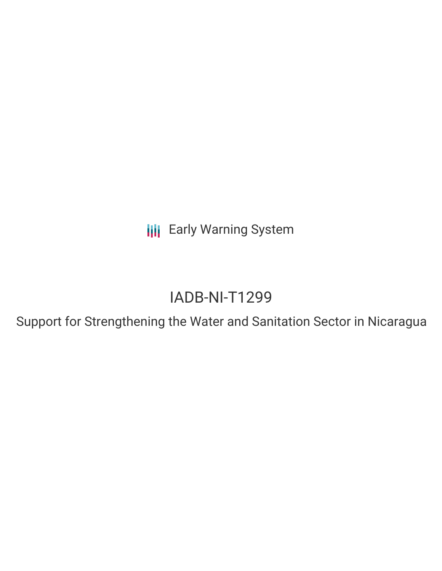**III** Early Warning System

# IADB-NI-T1299

Support for Strengthening the Water and Sanitation Sector in Nicaragua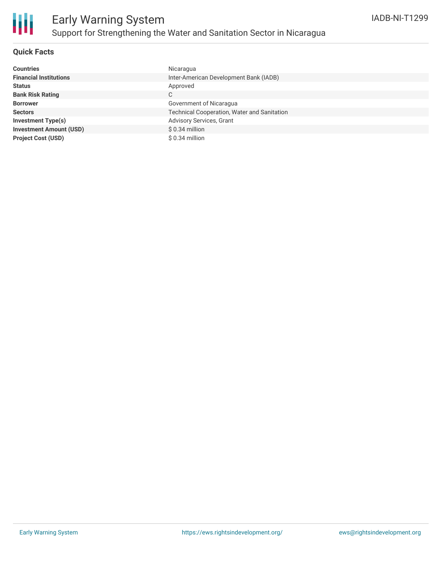

## **Quick Facts**

| <b>Countries</b>               | Nicaragua                                   |
|--------------------------------|---------------------------------------------|
| <b>Financial Institutions</b>  | Inter-American Development Bank (IADB)      |
| <b>Status</b>                  | Approved                                    |
| <b>Bank Risk Rating</b>        | С                                           |
| <b>Borrower</b>                | Government of Nicaragua                     |
| <b>Sectors</b>                 | Technical Cooperation, Water and Sanitation |
| <b>Investment Type(s)</b>      | Advisory Services, Grant                    |
| <b>Investment Amount (USD)</b> | $$0.34$ million                             |
| <b>Project Cost (USD)</b>      | $$0.34$ million                             |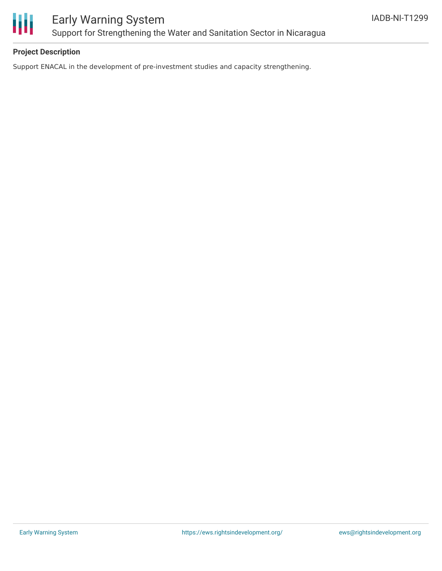

## **Project Description**

Support ENACAL in the development of pre-investment studies and capacity strengthening.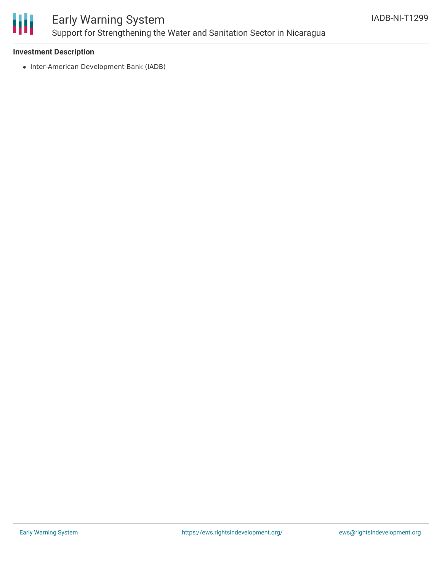

# Early Warning System Support for Strengthening the Water and Sanitation Sector in Nicaragua

### **Investment Description**

• Inter-American Development Bank (IADB)